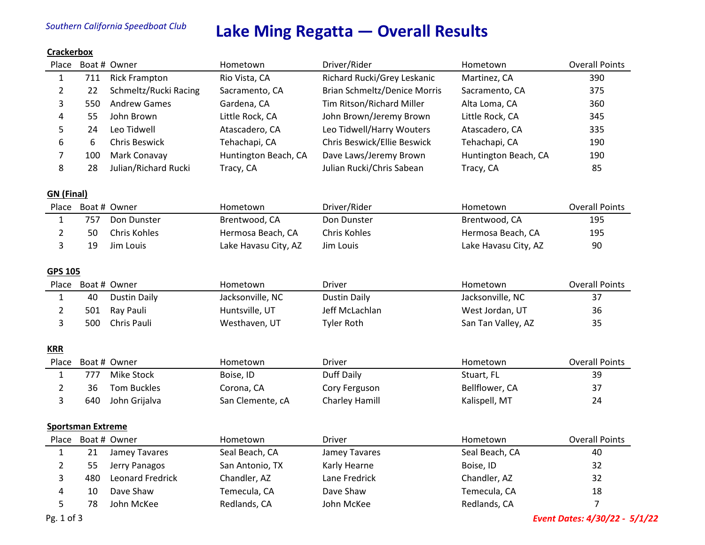# *Southern California Speedboat Club* **Lake Ming Regatta — Overall Results**

## **Crackerbox**

| Place                    |     | Boat # Owner            | Hometown             | Driver/Rider                        | Hometown             | <b>Overall Points</b> |  |
|--------------------------|-----|-------------------------|----------------------|-------------------------------------|----------------------|-----------------------|--|
| $\mathbf{1}$             | 711 | <b>Rick Frampton</b>    | Rio Vista, CA        | Richard Rucki/Grey Leskanic         | Martinez, CA         | 390                   |  |
| $\overline{2}$           | 22  | Schmeltz/Rucki Racing   | Sacramento, CA       | <b>Brian Schmeltz/Denice Morris</b> | Sacramento, CA       | 375                   |  |
| 3                        | 550 | <b>Andrew Games</b>     | Gardena, CA          | Tim Ritson/Richard Miller           | Alta Loma, CA        | 360                   |  |
| 4                        | 55  | John Brown              | Little Rock, CA      | John Brown/Jeremy Brown             | Little Rock, CA      | 345                   |  |
| 5                        | 24  | Leo Tidwell             | Atascadero, CA       | Leo Tidwell/Harry Wouters           | Atascadero, CA       | 335                   |  |
| 6                        | 6   | <b>Chris Beswick</b>    | Tehachapi, CA        | Chris Beswick/Ellie Beswick         | Tehachapi, CA        | 190                   |  |
| 7                        | 100 | Mark Conavay            | Huntington Beach, CA | Dave Laws/Jeremy Brown              | Huntington Beach, CA | 190                   |  |
| 8                        | 28  | Julian/Richard Rucki    | Tracy, CA            | Julian Rucki/Chris Sabean           | Tracy, CA            | 85                    |  |
| <b>GN</b> (Final)        |     |                         |                      |                                     |                      |                       |  |
|                          |     | Place Boat # Owner      | Hometown             | Driver/Rider                        | Hometown             | <b>Overall Points</b> |  |
| $\mathbf{1}$             | 757 | Don Dunster             | Brentwood, CA        | Don Dunster                         | Brentwood, CA        | 195                   |  |
| $\overline{2}$           | 50  | Chris Kohles            | Hermosa Beach, CA    | Chris Kohles                        | Hermosa Beach, CA    | 195                   |  |
| 3                        | 19  | Jim Louis               | Lake Havasu City, AZ | Jim Louis                           | Lake Havasu City, AZ | 90                    |  |
| <b>GPS 105</b>           |     |                         |                      |                                     |                      |                       |  |
| Place                    |     | Boat # Owner            | Hometown             | Driver                              | Hometown             | <b>Overall Points</b> |  |
| $\mathbf{1}$             | 40  | <b>Dustin Daily</b>     | Jacksonville, NC     | <b>Dustin Daily</b>                 | Jacksonville, NC     | 37                    |  |
| $\overline{2}$           | 501 | Ray Pauli               | Huntsville, UT       | Jeff McLachlan                      | West Jordan, UT      | 36                    |  |
| 3                        | 500 | Chris Pauli             | Westhaven, UT        | <b>Tyler Roth</b>                   | San Tan Valley, AZ   | 35                    |  |
| <b>KRR</b>               |     |                         |                      |                                     |                      |                       |  |
| Place                    |     | Boat # Owner            | Hometown             | Driver                              | Hometown             | <b>Overall Points</b> |  |
| $\mathbf{1}$             | 777 | <b>Mike Stock</b>       | Boise, ID            | Duff Daily                          | Stuart, FL           | 39                    |  |
| $\overline{2}$           | 36  | <b>Tom Buckles</b>      | Corona, CA           | Cory Ferguson                       | Bellflower, CA       | 37                    |  |
| 3                        | 640 | John Grijalva           | San Clemente, cA     | Charley Hamill                      | Kalispell, MT        | 24                    |  |
| <b>Sportsman Extreme</b> |     |                         |                      |                                     |                      |                       |  |
| Place                    |     | Boat # Owner            | Hometown             | Driver                              | Hometown             | <b>Overall Points</b> |  |
| 1                        | 21  | Jamey Tavares           | Seal Beach, CA       | Jamey Tavares                       | Seal Beach, CA       | 40                    |  |
| $\overline{2}$           | 55  | Jerry Panagos           | San Antonio, TX      | Karly Hearne                        | Boise, ID            | 32                    |  |
| 3                        | 480 | <b>Leonard Fredrick</b> | Chandler, AZ         | Lane Fredrick                       | Chandler, AZ         | 32                    |  |
| 4                        | 10  | Dave Shaw               | Temecula, CA         | Dave Shaw                           | Temecula, CA         | 18                    |  |
| 5                        | 78  | John McKee              | Redlands, CA         | John McKee                          | Redlands, CA         | $\overline{7}$        |  |

Pg. 1 of 3 *Event Dates: 4/30/22 - 5/1/22*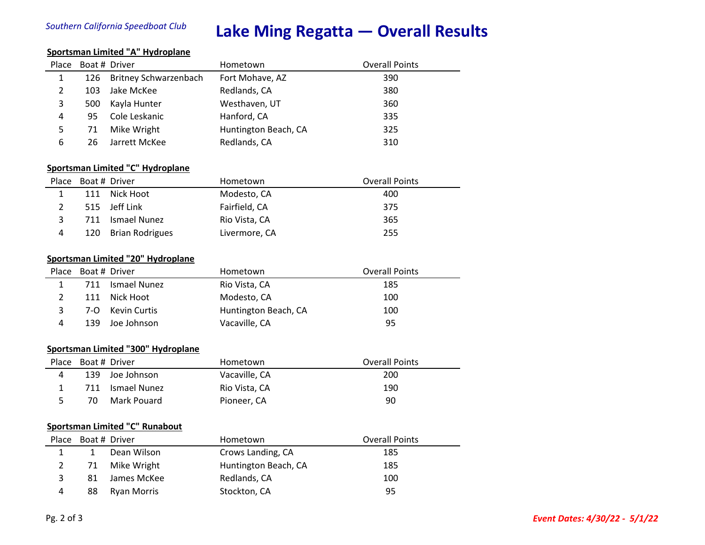# *Southern California Speedboat Club* **Lake Ming Regatta — Overall Results**

### **Sportsman Limited "A" Hydroplane**

| Place                              |     | Boat # Driver                           | Hometown             | <b>Overall Points</b> |  |  |
|------------------------------------|-----|-----------------------------------------|----------------------|-----------------------|--|--|
| $\mathbf{1}$                       | 126 | <b>Britney Schwarzenbach</b>            | Fort Mohave, AZ      | 390                   |  |  |
| 2                                  | 103 | Jake McKee                              | Redlands, CA         | 380                   |  |  |
| 3                                  | 500 | Kayla Hunter                            | Westhaven, UT        | 360                   |  |  |
| 4                                  | 95  | Cole Leskanic                           | Hanford, CA          | 335                   |  |  |
| 5                                  | 71  | Mike Wright                             | Huntington Beach, CA | 325                   |  |  |
| 6                                  | 26  | Jarrett McKee                           | Redlands, CA         | 310                   |  |  |
|                                    |     |                                         |                      |                       |  |  |
|                                    |     | <b>Sportsman Limited "C" Hydroplane</b> |                      |                       |  |  |
| Place                              |     | Boat # Driver                           | Hometown             | <b>Overall Points</b> |  |  |
| $\mathbf{1}$                       | 111 | Nick Hoot                               | Modesto, CA          | 400                   |  |  |
| 2                                  | 515 | Jeff Link                               | Fairfield, CA        | 375                   |  |  |
| 3                                  | 711 | <b>Ismael Nunez</b>                     | Rio Vista, CA        | 365                   |  |  |
| 4                                  | 120 | <b>Brian Rodrigues</b>                  | Livermore, CA        | 255                   |  |  |
|                                    |     |                                         |                      |                       |  |  |
| Sportsman Limited "20" Hydroplane  |     |                                         |                      |                       |  |  |
| Place                              |     | Boat # Driver                           | Hometown             | <b>Overall Points</b> |  |  |
| $\mathbf{1}$                       | 711 | Ismael Nunez                            | Rio Vista, CA        | 185                   |  |  |
| $\overline{2}$                     | 111 | Nick Hoot                               | Modesto, CA          | 100                   |  |  |
| 3                                  | 7-O | <b>Kevin Curtis</b>                     | Huntington Beach, CA | 100                   |  |  |
| 4                                  | 139 | Joe Johnson                             | Vacaville, CA        | 95                    |  |  |
|                                    |     |                                         |                      |                       |  |  |
| Sportsman Limited "300" Hydroplane |     |                                         |                      |                       |  |  |
| Place                              |     | Boat # Driver                           | Hometown             | <b>Overall Points</b> |  |  |
| 4                                  | 139 | Joe Johnson                             | Vacaville. CA        | 200                   |  |  |

|     | 139 Joe Johnson  | Vacaville, CA | 200 |
|-----|------------------|---------------|-----|
|     | 711 Ismael Nunez | Rio Vista, CA | 190 |
| 70. | Mark Pouard      | Pioneer, CA   | 90  |

## **Sportsman Limited "C" Runabout**

|   |    | Place Boat # Driver | Hometown             | <b>Overall Points</b> |
|---|----|---------------------|----------------------|-----------------------|
|   |    | Dean Wilson         | Crows Landing, CA    | 185                   |
|   |    | 71 Mike Wright      | Huntington Beach, CA | 185                   |
|   | 81 | James McKee         | Redlands, CA         | 100                   |
| 4 | 88 | Ryan Morris         | Stockton, CA         | 95                    |